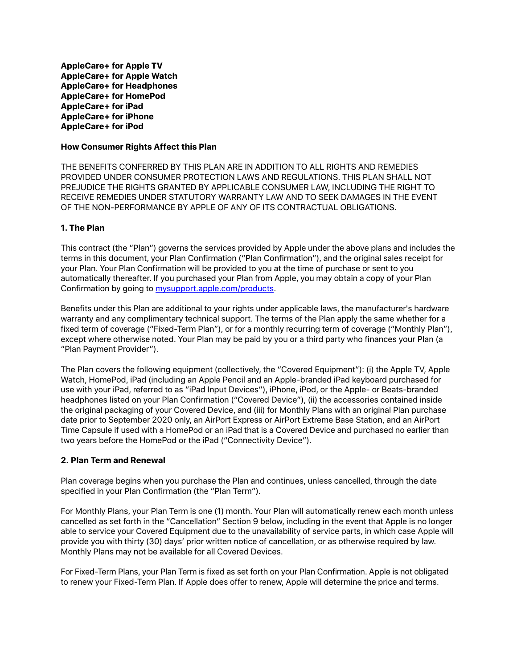**AppleCare+ for Apple TV AppleCare+ for Apple Watch AppleCare+ for Headphones AppleCare+ for HomePod AppleCare+ for iPad AppleCare+ for iPhone AppleCare+ for iPod**

### **How Consumer Rights Affect this Plan**

THE BENEFITS CONFERRED BY THIS PLAN ARE IN ADDITION TO ALL RIGHTS AND REMEDIES PROVIDED UNDER CONSUMER PROTECTION LAWS AND REGULATIONS. THIS PLAN SHALL NOT PREJUDICE THE RIGHTS GRANTED BY APPLICABLE CONSUMER LAW, INCLUDING THE RIGHT TO RECEIVE REMEDIES UNDER STATUTORY WARRANTY LAW AND TO SEEK DAMAGES IN THE EVENT OF THE NON-PERFORMANCE BY APPLE OF ANY OF ITS CONTRACTUAL OBLIGATIONS.

# **1. The Plan**

This contract (the "Plan") governs the services provided by Apple under the above plans and includes the terms in this document, your Plan Confirmation ("Plan Confirmation"), and the original sales receipt for your Plan. Your Plan Confirmation will be provided to you at the time of purchase or sent to you automatically thereafter. If you purchased your Plan from Apple, you may obtain a copy of your Plan Confirmation by going to [mysupport.apple.com/products.](http://mysupport.apple.com/products)

Benefits under this Plan are additional to your rights under applicable laws, the manufacturer's hardware warranty and any complimentary technical support. The terms of the Plan apply the same whether for a fixed term of coverage ("Fixed-Term Plan"), or for a monthly recurring term of coverage ("Monthly Plan"), except where otherwise noted. Your Plan may be paid by you or a third party who finances your Plan (a "Plan Payment Provider").

The Plan covers the following equipment (collectively, the "Covered Equipment"): (i) the Apple TV, Apple Watch, HomePod, iPad (including an Apple Pencil and an Apple-branded iPad keyboard purchased for use with your iPad, referred to as "iPad Input Devices"), iPhone, iPod, or the Apple- or Beats-branded headphones listed on your Plan Confirmation ("Covered Device"), (ii) the accessories contained inside the original packaging of your Covered Device, and (iii) for Monthly Plans with an original Plan purchase date prior to September 2020 only, an AirPort Express or AirPort Extreme Base Station, and an AirPort Time Capsule if used with a HomePod or an iPad that is a Covered Device and purchased no earlier than two years before the HomePod or the iPad ("Connectivity Device").

#### **2. Plan Term and Renewal**

Plan coverage begins when you purchase the Plan and continues, unless cancelled, through the date specified in your Plan Confirmation (the "Plan Term").

For Monthly Plans, your Plan Term is one (1) month. Your Plan will automatically renew each month unless cancelled as set forth in the "Cancellation" Section 9 below, including in the event that Apple is no longer able to service your Covered Equipment due to the unavailability of service parts, in which case Apple will provide you with thirty (30) days' prior written notice of cancellation, or as otherwise required by law. Monthly Plans may not be available for all Covered Devices.

For Fixed-Term Plans, your Plan Term is fixed as set forth on your Plan Confirmation. Apple is not obligated to renew your Fixed-Term Plan. If Apple does offer to renew, Apple will determine the price and terms.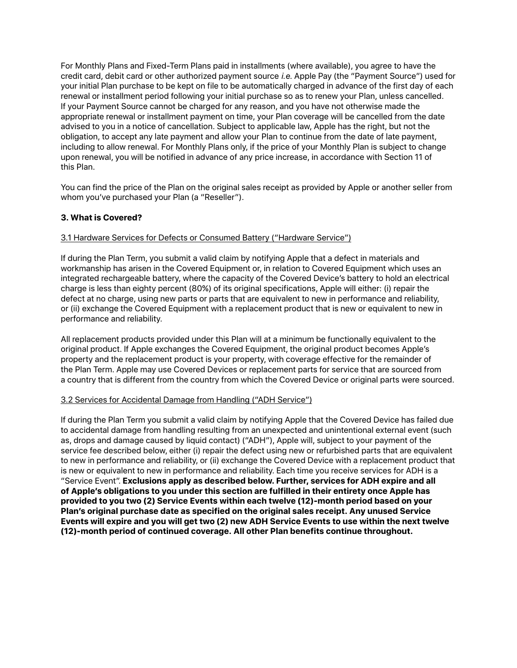For Monthly Plans and Fixed-Term Plans paid in installments (where available), you agree to have the credit card, debit card or other authorized payment source *i.e.* Apple Pay (the "Payment Source") used for your initial Plan purchase to be kept on file to be automatically charged in advance of the first day of each renewal or installment period following your initial purchase so as to renew your Plan, unless cancelled. If your Payment Source cannot be charged for any reason, and you have not otherwise made the appropriate renewal or installment payment on time, your Plan coverage will be cancelled from the date advised to you in a notice of cancellation. Subject to applicable law, Apple has the right, but not the obligation, to accept any late payment and allow your Plan to continue from the date of late payment, including to allow renewal. For Monthly Plans only, if the price of your Monthly Plan is subject to change upon renewal, you will be notified in advance of any price increase, in accordance with Section 11 of this Plan.

You can find the price of the Plan on the original sales receipt as provided by Apple or another seller from whom you've purchased your Plan (a "Reseller").

# **3. What is Covered?**

### 3.1 Hardware Services for Defects or Consumed Battery ("Hardware Service")

If during the Plan Term, you submit a valid claim by notifying Apple that a defect in materials and workmanship has arisen in the Covered Equipment or, in relation to Covered Equipment which uses an integrated rechargeable battery, where the capacity of the Covered Device's battery to hold an electrical charge is less than eighty percent (80%) of its original specifications, Apple will either: (i) repair the defect at no charge, using new parts or parts that are equivalent to new in performance and reliability, or (ii) exchange the Covered Equipment with a replacement product that is new or equivalent to new in performance and reliability.

All replacement products provided under this Plan will at a minimum be functionally equivalent to the original product. If Apple exchanges the Covered Equipment, the original product becomes Apple's property and the replacement product is your property, with coverage effective for the remainder of the Plan Term. Apple may use Covered Devices or replacement parts for service that are sourced from a country that is different from the country from which the Covered Device or original parts were sourced.

#### 3.2 Services for Accidental Damage from Handling ("ADH Service")

If during the Plan Term you submit a valid claim by notifying Apple that the Covered Device has failed due to accidental damage from handling resulting from an unexpected and unintentional external event (such as, drops and damage caused by liquid contact) ("ADH"), Apple will, subject to your payment of the service fee described below, either (i) repair the defect using new or refurbished parts that are equivalent to new in performance and reliability, or (ii) exchange the Covered Device with a replacement product that is new or equivalent to new in performance and reliability. Each time you receive services for ADH is a "Service Event". **Exclusions apply as described below. Further, services for ADH expire and all of Apple's obligations to you under this section are fulfilled in their entirety once Apple has provided to you two (2) Service Events within each twelve (12)-month period based on your Plan's original purchase date as specified on the original sales receipt. Any unused Service Events will expire and you will get two (2) new ADH Service Events to use within the next twelve (12)-month period of continued coverage. All other Plan benefits continue throughout.**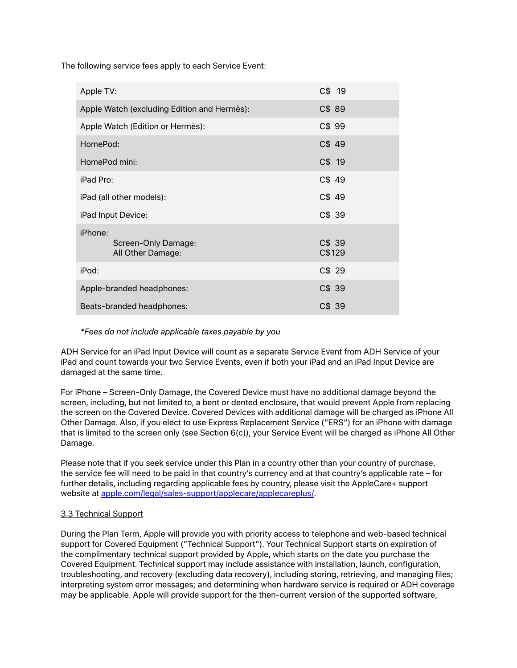The following service fees apply to each Service Event:

| Apple TV:                                           | C\$ 19          |
|-----------------------------------------------------|-----------------|
| Apple Watch (excluding Edition and Hermès):         | C\$ 89          |
| Apple Watch (Edition or Hermès):                    | C\$ 99          |
| HomePod:                                            | C\$ 49          |
| HomePod mini:                                       | $C$$ 19         |
| iPad Pro:                                           | C\$49           |
| iPad (all other models):                            | C\$49           |
| iPad Input Device:                                  | C\$39           |
| iPhone:<br>Screen-Only Damage:<br>All Other Damage: | C\$39<br>C\$129 |
| iPod:                                               | C\$29           |
| Apple-branded headphones:                           | C\$ 39          |
| Beats-branded headphones:                           | C\$39           |

*\*Fees do not include applicable taxes payable by you*

ADH Service for an iPad Input Device will count as a separate Service Event from ADH Service of your iPad and count towards your two Service Events, even if both your iPad and an iPad Input Device are damaged at the same time.

For iPhone – Screen-Only Damage, the Covered Device must have no additional damage beyond the screen, including, but not limited to, a bent or dented enclosure, that would prevent Apple from replacing the screen on the Covered Device. Covered Devices with additional damage will be charged as iPhone All Other Damage. Also, if you elect to use Express Replacement Service ("ERS") for an iPhone with damage that is limited to the screen only (see Section 6(c)), your Service Event will be charged as iPhone All Other Damage.

Please note that if you seek service under this Plan in a country other than your country of purchase, the service fee will need to be paid in that country's currency and at that country's applicable rate – for further details, including regarding applicable fees by country, please visit the AppleCare+ support website at [apple.com/legal/sales-support/applecare/applecareplus/.](http://www.apple.com/legal/sales-support/applecare/applecareplus/)

# 3.3 Technical Support

During the Plan Term, Apple will provide you with priority access to telephone and web-based technical support for Covered Equipment ("Technical Support"). Your Technical Support starts on expiration of the complimentary technical support provided by Apple, which starts on the date you purchase the Covered Equipment. Technical support may include assistance with installation, launch, configuration, troubleshooting, and recovery (excluding data recovery), including storing, retrieving, and managing files; interpreting system error messages; and determining when hardware service is required or ADH coverage may be applicable. Apple will provide support for the then-current version of the supported software,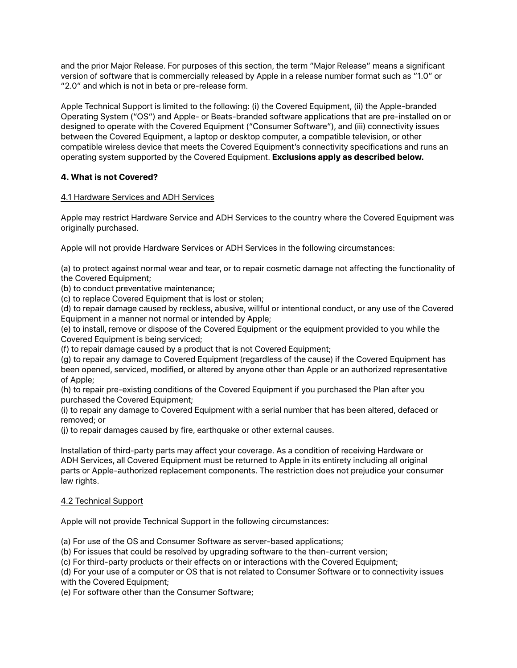and the prior Major Release. For purposes of this section, the term "Major Release" means a significant version of software that is commercially released by Apple in a release number format such as "1.0" or "2.0" and which is not in beta or pre-release form.

Apple Technical Support is limited to the following: (i) the Covered Equipment, (ii) the Apple-branded Operating System ("OS") and Apple- or Beats-branded software applications that are pre-installed on or designed to operate with the Covered Equipment ("Consumer Software"), and (iii) connectivity issues between the Covered Equipment, a laptop or desktop computer, a compatible television, or other compatible wireless device that meets the Covered Equipment's connectivity specifications and runs an operating system supported by the Covered Equipment. **Exclusions apply as described below.**

# **4. What is not Covered?**

# 4.1 Hardware Services and ADH Services

Apple may restrict Hardware Service and ADH Services to the country where the Covered Equipment was originally purchased.

Apple will not provide Hardware Services or ADH Services in the following circumstances:

(a) to protect against normal wear and tear, or to repair cosmetic damage not affecting the functionality of the Covered Equipment;

(b) to conduct preventative maintenance;

(c) to replace Covered Equipment that is lost or stolen;

(d) to repair damage caused by reckless, abusive, willful or intentional conduct, or any use of the Covered Equipment in a manner not normal or intended by Apple;

(e) to install, remove or dispose of the Covered Equipment or the equipment provided to you while the Covered Equipment is being serviced;

(f) to repair damage caused by a product that is not Covered Equipment;

(g) to repair any damage to Covered Equipment (regardless of the cause) if the Covered Equipment has been opened, serviced, modified, or altered by anyone other than Apple or an authorized representative of Apple;

(h) to repair pre-existing conditions of the Covered Equipment if you purchased the Plan after you purchased the Covered Equipment;

(i) to repair any damage to Covered Equipment with a serial number that has been altered, defaced or removed; or

(j) to repair damages caused by fire, earthquake or other external causes.

Installation of third-party parts may affect your coverage. As a condition of receiving Hardware or ADH Services, all Covered Equipment must be returned to Apple in its entirety including all original parts or Apple-authorized replacement components. The restriction does not prejudice your consumer law rights.

# 4.2 Technical Support

Apple will not provide Technical Support in the following circumstances:

(a) For use of the OS and Consumer Software as server-based applications;

(b) For issues that could be resolved by upgrading software to the then-current version;

(c) For third-party products or their effects on or interactions with the Covered Equipment;

(d) For your use of a computer or OS that is not related to Consumer Software or to connectivity issues with the Covered Equipment;

(e) For software other than the Consumer Software;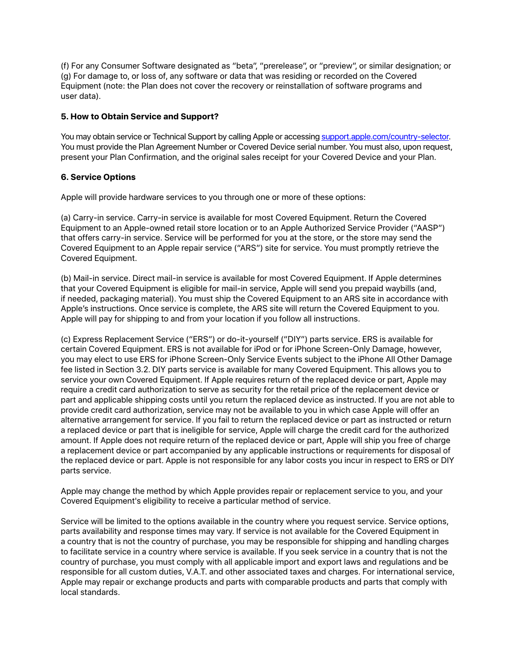(f) For any Consumer Software designated as "beta", "prerelease", or "preview", or similar designation; or (g) For damage to, or loss of, any software or data that was residing or recorded on the Covered Equipment (note: the Plan does not cover the recovery or reinstallation of software programs and user data).

# **5. How to Obtain Service and Support?**

You may obtain service or Technical Support by calling Apple or accessing [support.apple.com/country-selector.](http://support.apple.com/country-selector) You must provide the Plan Agreement Number or Covered Device serial number. You must also, upon request, present your Plan Confirmation, and the original sales receipt for your Covered Device and your Plan.

# **6. Service Options**

Apple will provide hardware services to you through one or more of these options:

(a) Carry-in service. Carry-in service is available for most Covered Equipment. Return the Covered Equipment to an Apple-owned retail store location or to an Apple Authorized Service Provider ("AASP") that offers carry-in service. Service will be performed for you at the store, or the store may send the Covered Equipment to an Apple repair service ("ARS") site for service. You must promptly retrieve the Covered Equipment.

(b) Mail-in service. Direct mail-in service is available for most Covered Equipment. If Apple determines that your Covered Equipment is eligible for mail-in service, Apple will send you prepaid waybills (and, if needed, packaging material). You must ship the Covered Equipment to an ARS site in accordance with Apple's instructions. Once service is complete, the ARS site will return the Covered Equipment to you. Apple will pay for shipping to and from your location if you follow all instructions.

(c) Express Replacement Service ("ERS") or do-it-yourself ("DIY") parts service. ERS is available for certain Covered Equipment. ERS is not available for iPod or for iPhone Screen-Only Damage, however, you may elect to use ERS for iPhone Screen-Only Service Events subject to the iPhone All Other Damage fee listed in Section 3.2. DIY parts service is available for many Covered Equipment. This allows you to service your own Covered Equipment. If Apple requires return of the replaced device or part, Apple may require a credit card authorization to serve as security for the retail price of the replacement device or part and applicable shipping costs until you return the replaced device as instructed. If you are not able to provide credit card authorization, service may not be available to you in which case Apple will offer an alternative arrangement for service. If you fail to return the replaced device or part as instructed or return a replaced device or part that is ineligible for service, Apple will charge the credit card for the authorized amount. If Apple does not require return of the replaced device or part, Apple will ship you free of charge a replacement device or part accompanied by any applicable instructions or requirements for disposal of the replaced device or part. Apple is not responsible for any labor costs you incur in respect to ERS or DIY parts service.

Apple may change the method by which Apple provides repair or replacement service to you, and your Covered Equipment's eligibility to receive a particular method of service.

Service will be limited to the options available in the country where you request service. Service options, parts availability and response times may vary. If service is not available for the Covered Equipment in a country that is not the country of purchase, you may be responsible for shipping and handling charges to facilitate service in a country where service is available. If you seek service in a country that is not the country of purchase, you must comply with all applicable import and export laws and regulations and be responsible for all custom duties, V.A.T. and other associated taxes and charges. For international service, Apple may repair or exchange products and parts with comparable products and parts that comply with local standards.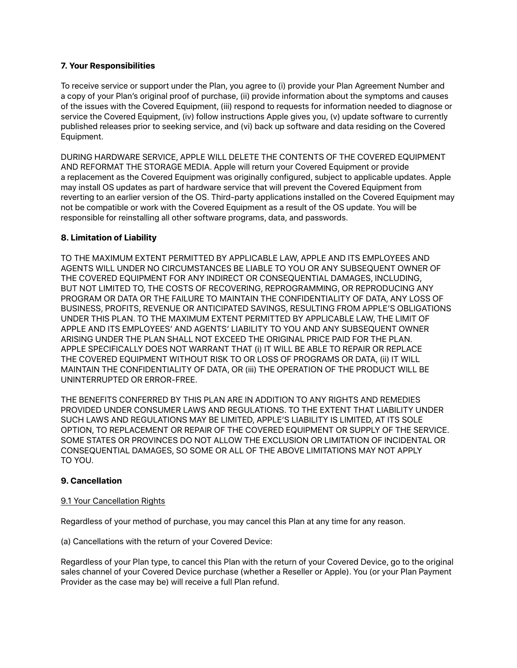### **7. Your Responsibilities**

To receive service or support under the Plan, you agree to (i) provide your Plan Agreement Number and a copy of your Plan's original proof of purchase, (ii) provide information about the symptoms and causes of the issues with the Covered Equipment, (iii) respond to requests for information needed to diagnose or service the Covered Equipment, (iv) follow instructions Apple gives you, (v) update software to currently published releases prior to seeking service, and (vi) back up software and data residing on the Covered Equipment.

DURING HARDWARE SERVICE, APPLE WILL DELETE THE CONTENTS OF THE COVERED EQUIPMENT AND REFORMAT THE STORAGE MEDIA. Apple will return your Covered Equipment or provide a replacement as the Covered Equipment was originally configured, subject to applicable updates. Apple may install OS updates as part of hardware service that will prevent the Covered Equipment from reverting to an earlier version of the OS. Third-party applications installed on the Covered Equipment may not be compatible or work with the Covered Equipment as a result of the OS update. You will be responsible for reinstalling all other software programs, data, and passwords.

### **8. Limitation of Liability**

TO THE MAXIMUM EXTENT PERMITTED BY APPLICABLE LAW, APPLE AND ITS EMPLOYEES AND AGENTS WILL UNDER NO CIRCUMSTANCES BE LIABLE TO YOU OR ANY SUBSEQUENT OWNER OF THE COVERED EQUIPMENT FOR ANY INDIRECT OR CONSEQUENTIAL DAMAGES, INCLUDING, BUT NOT LIMITED TO, THE COSTS OF RECOVERING, REPROGRAMMING, OR REPRODUCING ANY PROGRAM OR DATA OR THE FAILURE TO MAINTAIN THE CONFIDENTIALITY OF DATA, ANY LOSS OF BUSINESS, PROFITS, REVENUE OR ANTICIPATED SAVINGS, RESULTING FROM APPLE'S OBLIGATIONS UNDER THIS PLAN. TO THE MAXIMUM EXTENT PERMITTED BY APPLICABLE LAW, THE LIMIT OF APPLE AND ITS EMPLOYEES' AND AGENTS' LIABILITY TO YOU AND ANY SUBSEQUENT OWNER ARISING UNDER THE PLAN SHALL NOT EXCEED THE ORIGINAL PRICE PAID FOR THE PLAN. APPLE SPECIFICALLY DOES NOT WARRANT THAT (i) IT WILL BE ABLE TO REPAIR OR REPLACE THE COVERED EQUIPMENT WITHOUT RISK TO OR LOSS OF PROGRAMS OR DATA, (ii) IT WILL MAINTAIN THE CONFIDENTIALITY OF DATA, OR (iii) THE OPERATION OF THE PRODUCT WILL BE UNINTERRUPTED OR ERROR-FREE.

THE BENEFITS CONFERRED BY THIS PLAN ARE IN ADDITION TO ANY RIGHTS AND REMEDIES PROVIDED UNDER CONSUMER LAWS AND REGULATIONS. TO THE EXTENT THAT LIABILITY UNDER SUCH LAWS AND REGULATIONS MAY BE LIMITED, APPLE'S LIABILITY IS LIMITED, AT ITS SOLE OPTION, TO REPLACEMENT OR REPAIR OF THE COVERED EQUIPMENT OR SUPPLY OF THE SERVICE. SOME STATES OR PROVINCES DO NOT ALLOW THE EXCLUSION OR LIMITATION OF INCIDENTAL OR CONSEQUENTIAL DAMAGES, SO SOME OR ALL OF THE ABOVE LIMITATIONS MAY NOT APPLY TO YOU.

#### **9. Cancellation**

#### 9.1 Your Cancellation Rights

Regardless of your method of purchase, you may cancel this Plan at any time for any reason.

(a) Cancellations with the return of your Covered Device:

Regardless of your Plan type, to cancel this Plan with the return of your Covered Device, go to the original sales channel of your Covered Device purchase (whether a Reseller or Apple). You (or your Plan Payment Provider as the case may be) will receive a full Plan refund.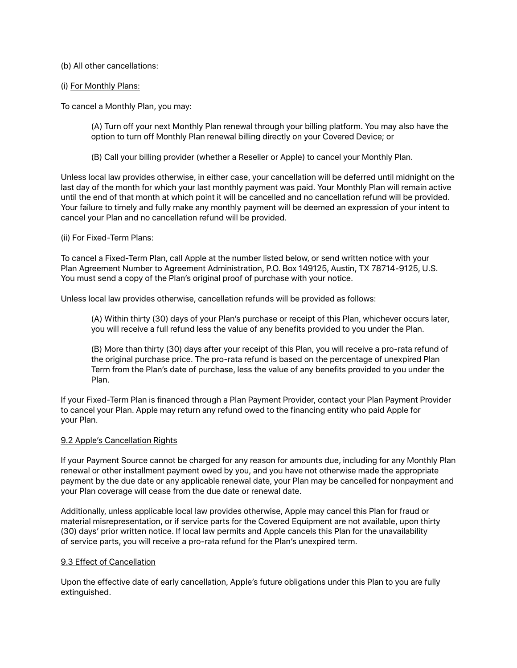(b) All other cancellations:

#### (i) For Monthly Plans:

To cancel a Monthly Plan, you may:

(A) Turn off your next Monthly Plan renewal through your billing platform. You may also have the option to turn off Monthly Plan renewal billing directly on your Covered Device; or

(B) Call your billing provider (whether a Reseller or Apple) to cancel your Monthly Plan.

Unless local law provides otherwise, in either case, your cancellation will be deferred until midnight on the last day of the month for which your last monthly payment was paid. Your Monthly Plan will remain active until the end of that month at which point it will be cancelled and no cancellation refund will be provided. Your failure to timely and fully make any monthly payment will be deemed an expression of your intent to cancel your Plan and no cancellation refund will be provided.

#### (ii) For Fixed-Term Plans:

To cancel a Fixed-Term Plan, call Apple at the number listed below, or send written notice with your Plan Agreement Number to Agreement Administration, P.O. Box 149125, Austin, TX 78714-9125, U.S. You must send a copy of the Plan's original proof of purchase with your notice.

Unless local law provides otherwise, cancellation refunds will be provided as follows:

(A) Within thirty (30) days of your Plan's purchase or receipt of this Plan, whichever occurs later, you will receive a full refund less the value of any benefits provided to you under the Plan.

(B) More than thirty (30) days after your receipt of this Plan, you will receive a pro-rata refund of the original purchase price. The pro-rata refund is based on the percentage of unexpired Plan Term from the Plan's date of purchase, less the value of any benefits provided to you under the Plan.

If your Fixed-Term Plan is financed through a Plan Payment Provider, contact your Plan Payment Provider to cancel your Plan. Apple may return any refund owed to the financing entity who paid Apple for your Plan.

#### 9.2 Apple's Cancellation Rights

If your Payment Source cannot be charged for any reason for amounts due, including for any Monthly Plan renewal or other installment payment owed by you, and you have not otherwise made the appropriate payment by the due date or any applicable renewal date, your Plan may be cancelled for nonpayment and your Plan coverage will cease from the due date or renewal date.

Additionally, unless applicable local law provides otherwise, Apple may cancel this Plan for fraud or material misrepresentation, or if service parts for the Covered Equipment are not available, upon thirty (30) days' prior written notice. If local law permits and Apple cancels this Plan for the unavailability of service parts, you will receive a pro-rata refund for the Plan's unexpired term.

#### 9.3 Effect of Cancellation

Upon the effective date of early cancellation, Apple's future obligations under this Plan to you are fully extinguished.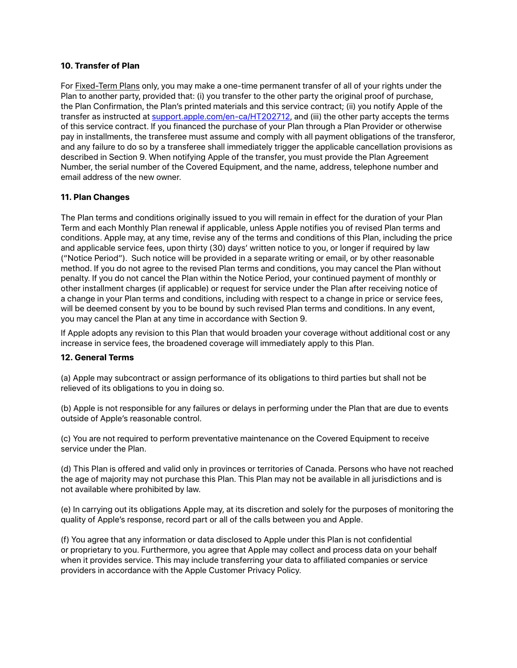### **10. Transfer of Plan**

For Fixed-Term Plans only, you may make a one-time permanent transfer of all of your rights under the Plan to another party, provided that: (i) you transfer to the other party the original proof of purchase, the Plan Confirmation, the Plan's printed materials and this service contract; (ii) you notify Apple of the transfer as instructed at [support.apple.com/en-ca/HT202712,](http://support.apple.com/en-us/HT202712) and (iii) the other party accepts the terms of this service contract. If you financed the purchase of your Plan through a Plan Provider or otherwise pay in installments, the transferee must assume and comply with all payment obligations of the transferor, and any failure to do so by a transferee shall immediately trigger the applicable cancellation provisions as described in Section 9. When notifying Apple of the transfer, you must provide the Plan Agreement Number, the serial number of the Covered Equipment, and the name, address, telephone number and email address of the new owner.

# **11. Plan Changes**

The Plan terms and conditions originally issued to you will remain in effect for the duration of your Plan Term and each Monthly Plan renewal if applicable, unless Apple notifies you of revised Plan terms and conditions. Apple may, at any time, revise any of the terms and conditions of this Plan, including the price and applicable service fees, upon thirty (30) days' written notice to you, or longer if required by law ("Notice Period"). Such notice will be provided in a separate writing or email, or by other reasonable method. If you do not agree to the revised Plan terms and conditions, you may cancel the Plan without penalty. If you do not cancel the Plan within the Notice Period, your continued payment of monthly or other installment charges (if applicable) or request for service under the Plan after receiving notice of a change in your Plan terms and conditions, including with respect to a change in price or service fees, will be deemed consent by you to be bound by such revised Plan terms and conditions. In any event, you may cancel the Plan at any time in accordance with Section 9.

If Apple adopts any revision to this Plan that would broaden your coverage without additional cost or any increase in service fees, the broadened coverage will immediately apply to this Plan.

#### **12. General Terms**

(a) Apple may subcontract or assign performance of its obligations to third parties but shall not be relieved of its obligations to you in doing so.

(b) Apple is not responsible for any failures or delays in performing under the Plan that are due to events outside of Apple's reasonable control.

(c) You are not required to perform preventative maintenance on the Covered Equipment to receive service under the Plan.

(d) This Plan is offered and valid only in provinces or territories of Canada. Persons who have not reached the age of majority may not purchase this Plan. This Plan may not be available in all jurisdictions and is not available where prohibited by law.

(e) In carrying out its obligations Apple may, at its discretion and solely for the purposes of monitoring the quality of Apple's response, record part or all of the calls between you and Apple.

(f) You agree that any information or data disclosed to Apple under this Plan is not confidential or proprietary to you. Furthermore, you agree that Apple may collect and process data on your behalf when it provides service. This may include transferring your data to affiliated companies or service providers in accordance with the Apple Customer Privacy Policy.